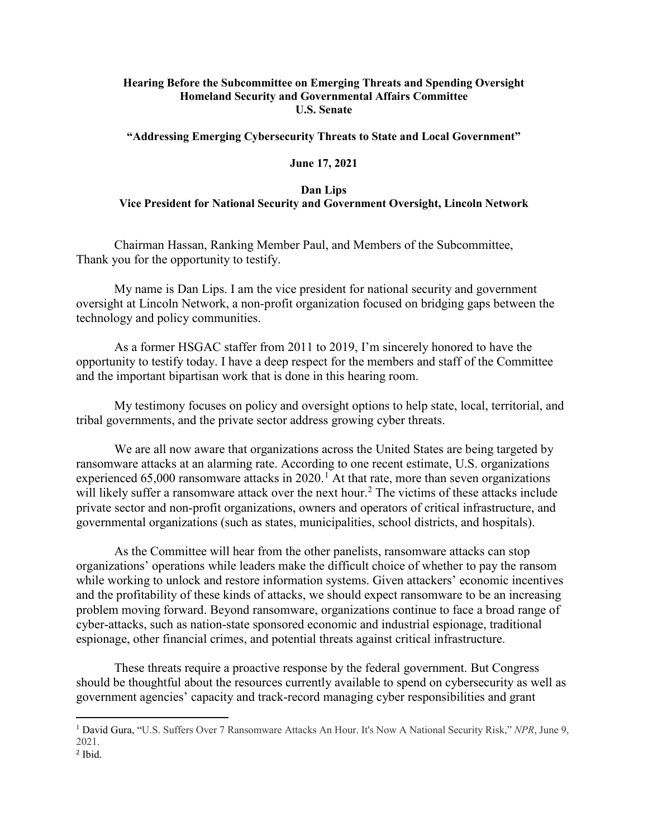### **Hearing Before the Subcommittee on Emerging Threats and Spending Oversight Homeland Security and Governmental Affairs Committee U.S. Senate**

**"Addressing Emerging Cybersecurity Threats to State and Local Government"**

#### **June 17, 2021**

### **Dan Lips Vice President for National Security and Government Oversight, Lincoln Network**

Chairman Hassan, Ranking Member Paul, and Members of the Subcommittee, Thank you for the opportunity to testify.

My name is Dan Lips. I am the vice president for national security and government oversight at Lincoln Network, a non-profit organization focused on bridging gaps between the technology and policy communities.

As a former HSGAC staffer from 2011 to 2019, I'm sincerely honored to have the opportunity to testify today. I have a deep respect for the members and staff of the Committee and the important bipartisan work that is done in this hearing room.

My testimony focuses on policy and oversight options to help state, local, territorial, and tribal governments, and the private sector address growing cyber threats.

We are all now aware that organizations across the United States are being targeted by ransomware attacks at an alarming rate. According to one recent estimate, U.S. organizations experienced 65,000 ransomware attacks in 2020.<sup>[1](#page-0-0)</sup> At that rate, more than seven organizations will likely suffer a ransomware attack over the next hour.<sup>[2](#page-0-1)</sup> The victims of these attacks include private sector and non-profit organizations, owners and operators of critical infrastructure, and governmental organizations (such as states, municipalities, school districts, and hospitals).

As the Committee will hear from the other panelists, ransomware attacks can stop organizations' operations while leaders make the difficult choice of whether to pay the ransom while working to unlock and restore information systems. Given attackers' economic incentives and the profitability of these kinds of attacks, we should expect ransomware to be an increasing problem moving forward. Beyond ransomware, organizations continue to face a broad range of cyber-attacks, such as nation-state sponsored economic and industrial espionage, traditional espionage, other financial crimes, and potential threats against critical infrastructure.

These threats require a proactive response by the federal government. But Congress should be thoughtful about the resources currently available to spend on cybersecurity as well as government agencies' capacity and track-record managing cyber responsibilities and grant

 $\overline{a}$ 

<span id="page-0-0"></span><sup>1</sup> David Gura, "U.S. Suffers Over 7 Ransomware Attacks An Hour. It's Now A National Security Risk," *NPR*, June 9, 2021.

<span id="page-0-1"></span><sup>2</sup> Ibid.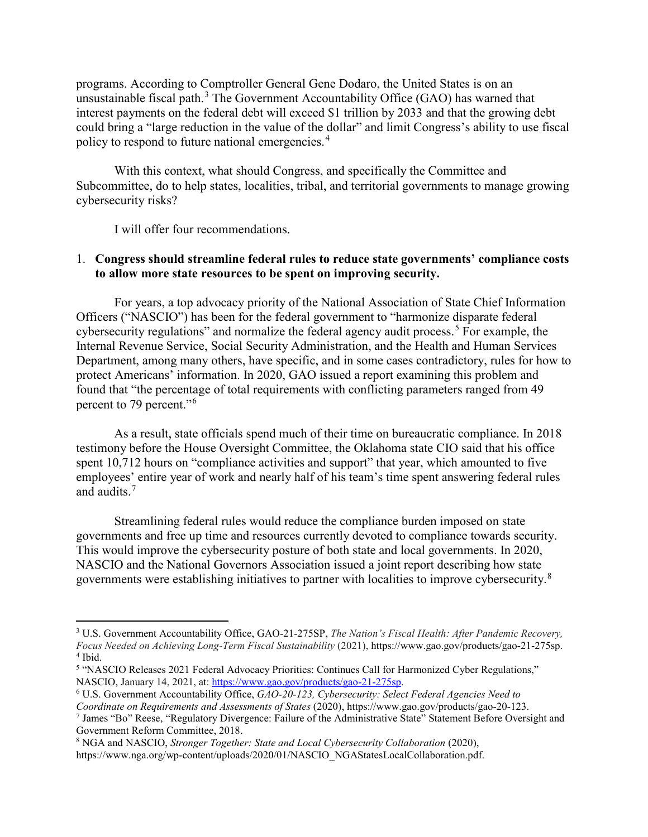programs. According to Comptroller General Gene Dodaro, the United States is on an unsustainable fiscal path.<sup>[3](#page-1-0)</sup> The Government Accountability Office (GAO) has warned that interest payments on the federal debt will exceed \$1 trillion by 2033 and that the growing debt could bring a "large reduction in the value of the dollar" and limit Congress's ability to use fiscal policy to respond to future national emergencies.<sup>[4](#page-1-1)</sup>

With this context, what should Congress, and specifically the Committee and Subcommittee, do to help states, localities, tribal, and territorial governments to manage growing cybersecurity risks?

I will offer four recommendations.

 $\overline{a}$ 

## 1. **Congress should streamline federal rules to reduce state governments' compliance costs to allow more state resources to be spent on improving security.**

For years, a top advocacy priority of the National Association of State Chief Information Officers ("NASCIO") has been for the federal government to "harmonize disparate federal cybersecurity regulations" and normalize the federal agency audit process.<sup>[5](#page-1-2)</sup> For example, the Internal Revenue Service, Social Security Administration, and the Health and Human Services Department, among many others, have specific, and in some cases contradictory, rules for how to protect Americans' information. In 2020, GAO issued a report examining this problem and found that "the percentage of total requirements with conflicting parameters ranged from 49 percent to 79 percent."[6](#page-1-3)

As a result, state officials spend much of their time on bureaucratic compliance. In 2018 testimony before the House Oversight Committee, the Oklahoma state CIO said that his office spent 10,712 hours on "compliance activities and support" that year, which amounted to five employees' entire year of work and nearly half of his team's time spent answering federal rules and audits.<sup>[7](#page-1-4)</sup>

Streamlining federal rules would reduce the compliance burden imposed on state governments and free up time and resources currently devoted to compliance towards security. This would improve the cybersecurity posture of both state and local governments. In 2020, NASCIO and the National Governors Association issued a joint report describing how state governments were establishing initiatives to partner with localities to improve cybersecurity.[8](#page-1-5)

<span id="page-1-0"></span><sup>3</sup> U.S. Government Accountability Office, GAO-21-275SP, *The Nation's Fiscal Health: After Pandemic Recovery, Focus Needed on Achieving Long-Term Fiscal Sustainability* (2021), https://www.gao.gov/products/gao-21-275sp. <sup>4</sup> Ibid.

<span id="page-1-2"></span><span id="page-1-1"></span><sup>&</sup>lt;sup>5</sup> "NASCIO Releases 2021 Federal Advocacy Priorities: Continues Call for Harmonized Cyber Regulations,"<br>NASCIO, January 14, 2021, at: https://www.gao.gov/products/gao-21-275sp.

<span id="page-1-3"></span><sup>&</sup>lt;sup>6</sup> U.S. Government Accountability Office, *GAO-20-123, Cybersecurity: Select Federal Agencies Need to Coordinate on Requirements and Assessments of States* (2020), https://www.gao.gov/products/gao-20-123.

<span id="page-1-4"></span><sup>7</sup> James "Bo" Reese, "Regulatory Divergence: Failure of the Administrative State" Statement Before Oversight and Government Reform Committee, 2018.

<span id="page-1-5"></span><sup>8</sup> NGA and NASCIO, *Stronger Together: State and Local Cybersecurity Collaboration* (2020),

https://www.nga.org/wp-content/uploads/2020/01/NASCIO\_NGAStatesLocalCollaboration.pdf.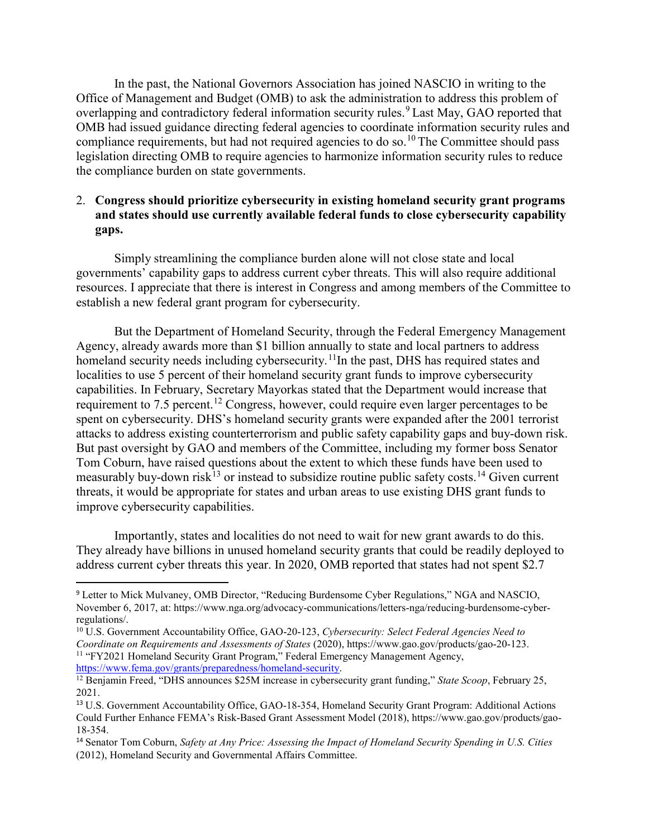In the past, the National Governors Association has joined NASCIO in writing to the Office of Management and Budget (OMB) to ask the administration to address this problem of overlapping and contradictory federal information security rules.<sup>[9](#page-2-0)</sup> Last May, GAO reported that OMB had issued guidance directing federal agencies to coordinate information security rules and compliance requirements, but had not required agencies to do so.<sup>[10](#page-2-1)</sup> The Committee should pass legislation directing OMB to require agencies to harmonize information security rules to reduce the compliance burden on state governments.

# 2. **Congress should prioritize cybersecurity in existing homeland security grant programs and states should use currently available federal funds to close cybersecurity capability gaps.**

Simply streamlining the compliance burden alone will not close state and local governments' capability gaps to address current cyber threats. This will also require additional resources. I appreciate that there is interest in Congress and among members of the Committee to establish a new federal grant program for cybersecurity.

But the Department of Homeland Security, through the Federal Emergency Management Agency, already awards more than \$1 billion annually to state and local partners to address homeland security needs including cybersecurity.<sup>[11](#page-2-2)</sup>In the past, DHS has required states and localities to use 5 percent of their homeland security grant funds to improve cybersecurity capabilities. In February, Secretary Mayorkas stated that the Department would increase that requirement to 7.5 percent.<sup>[12](#page-2-3)</sup> Congress, however, could require even larger percentages to be spent on cybersecurity. DHS's homeland security grants were expanded after the 2001 terrorist attacks to address existing counterterrorism and public safety capability gaps and buy-down risk. But past oversight by GAO and members of the Committee, including my former boss Senator Tom Coburn, have raised questions about the extent to which these funds have been used to measurably buy-down risk<sup>[13](#page-2-4)</sup> or instead to subsidize routine public safety costs.<sup>[14](#page-2-5)</sup> Given current threats, it would be appropriate for states and urban areas to use existing DHS grant funds to improve cybersecurity capabilities.

Importantly, states and localities do not need to wait for new grant awards to do this. They already have billions in unused homeland security grants that could be readily deployed to address current cyber threats this year. In 2020, OMB reported that states had not spent \$2.7

<span id="page-2-0"></span> <sup>9</sup> Letter to Mick Mulvaney, OMB Director, "Reducing Burdensome Cyber Regulations," NGA and NASCIO, November 6, 2017, at: https://www.nga.org/advocacy-communications/letters-nga/reducing-burdensome-cyberregulations/.

<span id="page-2-2"></span><span id="page-2-1"></span><sup>10</sup> U.S. Government Accountability Office, GAO-20-123, *Cybersecurity: Select Federal Agencies Need to Coordinate on Requirements and Assessments of States* (2020), https://www.gao.gov/products/gao-20-123. <sup>11</sup> "FY2021 Homeland Security Grant Program," Federal Emergency Management Agency, https://www.fema.gov/grants/preparedness/homeland-security.

<span id="page-2-3"></span><sup>&</sup>lt;sup>12</sup> Benjamin Freed, "DHS announces \$25M increase in cybersecurity grant funding," *State Scoop*, February 25, 2021.

<span id="page-2-4"></span><sup>13</sup> U.S. Government Accountability Office, GAO-18-354, Homeland Security Grant Program: Additional Actions Could Further Enhance FEMA's Risk-Based Grant Assessment Model (2018), https://www.gao.gov/products/gao-18-354.

<span id="page-2-5"></span><sup>14</sup> Senator Tom Coburn, *Safety at Any Price: Assessing the Impact of Homeland Security Spending in U.S. Cities* (2012), Homeland Security and Governmental Affairs Committee.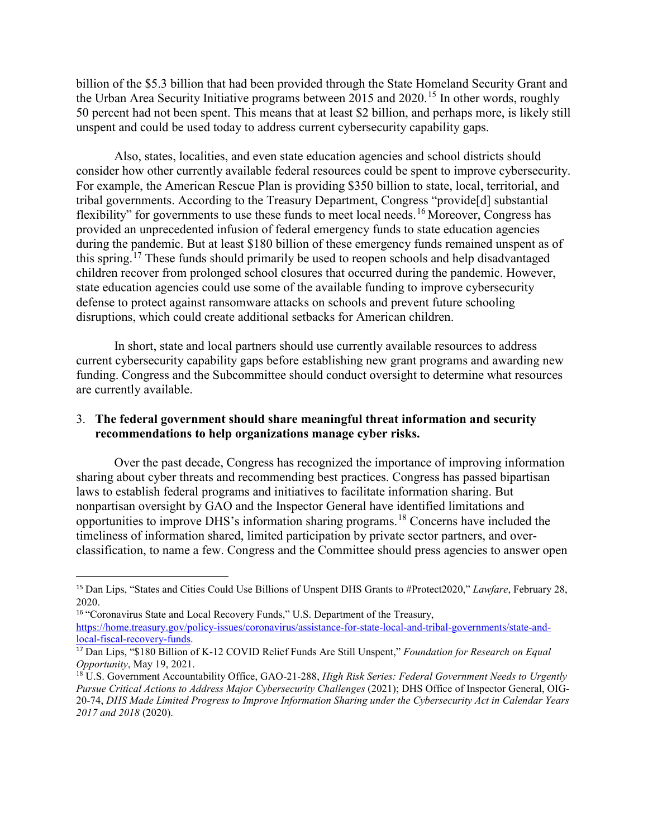billion of the \$5.3 billion that had been provided through the State Homeland Security Grant and the Urban Area Security Initiative programs between 20[15](#page-3-0) and 2020.<sup>15</sup> In other words, roughly 50 percent had not been spent. This means that at least \$2 billion, and perhaps more, is likely still unspent and could be used today to address current cybersecurity capability gaps.

Also, states, localities, and even state education agencies and school districts should consider how other currently available federal resources could be spent to improve cybersecurity. For example, the American Rescue Plan is providing \$350 billion to state, local, territorial, and tribal governments. According to the Treasury Department, Congress "provide[d] substantial flexibility" for governments to use these funds to meet local needs.<sup>[16](#page-3-1)</sup> Moreover, Congress has provided an unprecedented infusion of federal emergency funds to state education agencies during the pandemic. But at least \$180 billion of these emergency funds remained unspent as of this spring.<sup>[17](#page-3-2)</sup> These funds should primarily be used to reopen schools and help disadvantaged children recover from prolonged school closures that occurred during the pandemic. However, state education agencies could use some of the available funding to improve cybersecurity defense to protect against ransomware attacks on schools and prevent future schooling disruptions, which could create additional setbacks for American children.

 In short, state and local partners should use currently available resources to address current cybersecurity capability gaps before establishing new grant programs and awarding new funding. Congress and the Subcommittee should conduct oversight to determine what resources are currently available.

## 3. **The federal government should share meaningful threat information and security recommendations to help organizations manage cyber risks.**

Over the past decade, Congress has recognized the importance of improving information sharing about cyber threats and recommending best practices. Congress has passed bipartisan laws to establish federal programs and initiatives to facilitate information sharing. But nonpartisan oversight by GAO and the Inspector General have identified limitations and opportunities to improve DHS's information sharing programs.[18](#page-3-3) Concerns have included the timeliness of information shared, limited participation by private sector partners, and overclassification, to name a few. Congress and the Committee should press agencies to answer open

<span id="page-3-0"></span> <sup>15</sup> Dan Lips, "States and Cities Could Use Billions of Unspent DHS Grants to #Protect2020," *Lawfare*, February 28, 2020.

<span id="page-3-1"></span><sup>&</sup>lt;sup>16</sup> "Coronavirus State and Local Recovery Funds," U.S. Department of the Treasury,

[https://home.treasury.gov/policy-issues/coronavirus/assistance-for-state-local-and-tribal-governments/state-and](https://home.treasury.gov/policy-issues/coronavirus/assistance-for-state-local-and-tribal-governments/state-and-local-fiscal-recovery-funds)[local-fiscal-recovery-funds.](https://home.treasury.gov/policy-issues/coronavirus/assistance-for-state-local-and-tribal-governments/state-and-local-fiscal-recovery-funds)

<span id="page-3-2"></span><sup>17</sup> Dan Lips, "\$180 Billion of K-12 COVID Relief Funds Are Still Unspent," *Foundation for Research on Equal Opportunity*, May 19, 2021.

<span id="page-3-3"></span><sup>18</sup> U.S. Government Accountability Office, GAO-21-288, *High Risk Series: Federal Government Needs to Urgently Pursue Critical Actions to Address Major Cybersecurity Challenges* (2021); DHS Office of Inspector General, OIG-20-74, *DHS Made Limited Progress to Improve Information Sharing under the Cybersecurity Act in Calendar Years 2017 and 2018* (2020).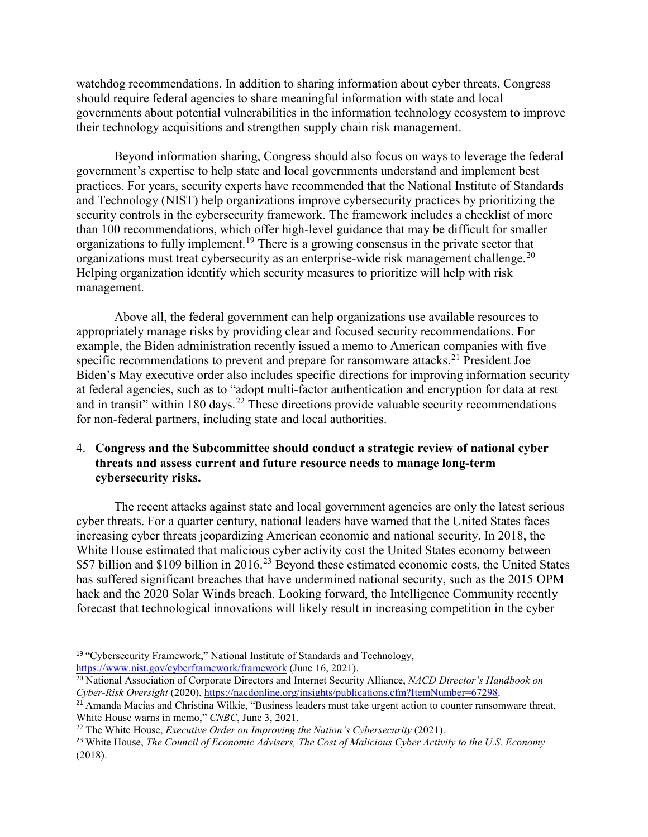watchdog recommendations. In addition to sharing information about cyber threats, Congress should require federal agencies to share meaningful information with state and local governments about potential vulnerabilities in the information technology ecosystem to improve their technology acquisitions and strengthen supply chain risk management.

Beyond information sharing, Congress should also focus on ways to leverage the federal government's expertise to help state and local governments understand and implement best practices. For years, security experts have recommended that the National Institute of Standards and Technology (NIST) help organizations improve cybersecurity practices by prioritizing the security controls in the cybersecurity framework. The framework includes a checklist of more than 100 recommendations, which offer high-level guidance that may be difficult for smaller organizations to fully implement.[19](#page-4-0) There is a growing consensus in the private sector that organizations must treat cybersecurity as an enterprise-wide risk management challenge.<sup>[20](#page-4-1)</sup> Helping organization identify which security measures to prioritize will help with risk management.

Above all, the federal government can help organizations use available resources to appropriately manage risks by providing clear and focused security recommendations. For example, the Biden administration recently issued a memo to American companies with five specific recommendations to prevent and prepare for ransomware attacks.<sup>[21](#page-4-2)</sup> President Joe Biden's May executive order also includes specific directions for improving information security at federal agencies, such as to "adopt multi-factor authentication and encryption for data at rest and in transit" within 180 days.<sup>[22](#page-4-3)</sup> These directions provide valuable security recommendations for non-federal partners, including state and local authorities.

## 4. **Congress and the Subcommittee should conduct a strategic review of national cyber threats and assess current and future resource needs to manage long-term cybersecurity risks.**

The recent attacks against state and local government agencies are only the latest serious cyber threats. For a quarter century, national leaders have warned that the United States faces increasing cyber threats jeopardizing American economic and national security. In 2018, the White House estimated that malicious cyber activity cost the United States economy between \$57 billion and \$109 billion in 2016.<sup>[23](#page-4-4)</sup> Beyond these estimated economic costs, the United States has suffered significant breaches that have undermined national security, such as the 2015 OPM hack and the 2020 Solar Winds breach. Looking forward, the Intelligence Community recently forecast that technological innovations will likely result in increasing competition in the cyber

<span id="page-4-0"></span><sup>&</sup>lt;sup>19</sup> "Cybersecurity Framework," National Institute of Standards and Technology, <https://www.nist.gov/cyberframework/framework> (June 16, 2021).

<span id="page-4-1"></span><sup>20</sup> National Association of Corporate Directors and Internet Security Alliance, *NACD Director's Handbook on Cyber-Risk Oversight* (2020), [https://nacdonline.org/insights/publications.cfm?ItemNumber=67298.](https://nacdonline.org/insights/publications.cfm?ItemNumber=67298)

<span id="page-4-2"></span><sup>&</sup>lt;sup>21</sup> Amanda Macias and Christina Wilkie, "Business leaders must take urgent action to counter ransomware threat, White House warns in memo," *CNBC*, June 3, 2021.

<span id="page-4-3"></span><sup>22</sup> The White House, *Executive Order on Improving the Nation's Cybersecurity* (2021).

<span id="page-4-4"></span><sup>23</sup> White House, *The Council of Economic Advisers, The Cost of Malicious Cyber Activity to the U.S. Economy* (2018).